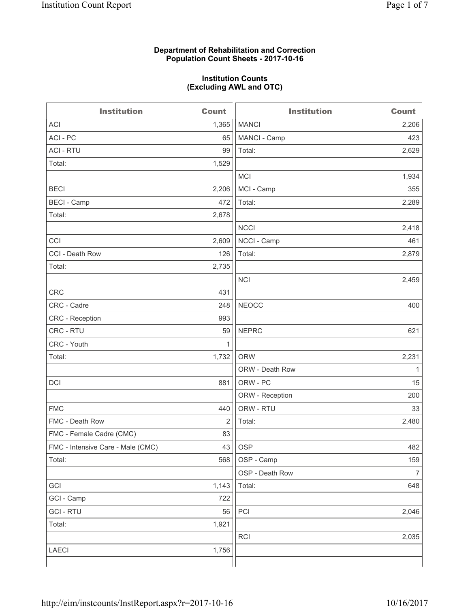#### **Department of Rehabilitation and Correction Population Count Sheets - 2017-10-16**

#### **Institution Counts (Excluding AWL and OTC)**

 $-$ 

| <b>Institution</b>                | <b>Count</b> | <b>Institution</b> | <b>Count</b>   |
|-----------------------------------|--------------|--------------------|----------------|
| ACI                               | 1,365        | <b>MANCI</b>       | 2,206          |
| ACI-PC                            | 65           | MANCI - Camp       | 423            |
| <b>ACI - RTU</b>                  | 99           | Total:             | 2,629          |
| Total:                            | 1,529        |                    |                |
|                                   |              | MCI                | 1,934          |
| <b>BECI</b>                       | 2,206        | MCI - Camp         | 355            |
| <b>BECI</b> - Camp                | 472          | Total:             | 2,289          |
| Total:                            | 2,678        |                    |                |
|                                   |              | <b>NCCI</b>        | 2,418          |
| CCI                               | 2,609        | NCCI - Camp        | 461            |
| CCI - Death Row                   | 126          | Total:             | 2,879          |
| Total:                            | 2,735        |                    |                |
|                                   |              | <b>NCI</b>         | 2,459          |
| <b>CRC</b>                        | 431          |                    |                |
| CRC - Cadre                       | 248          | <b>NEOCC</b>       | 400            |
| CRC - Reception                   | 993          |                    |                |
| CRC - RTU                         | 59           | <b>NEPRC</b>       | 621            |
| CRC - Youth                       | 1            |                    |                |
| Total:                            | 1,732        | <b>ORW</b>         | 2,231          |
|                                   |              | ORW - Death Row    | 1              |
| DCI                               | 881          | ORW - PC           | 15             |
|                                   |              | ORW - Reception    | 200            |
| <b>FMC</b>                        | 440          | ORW - RTU          | 33             |
| FMC - Death Row                   | 2            | Total:             | 2,480          |
| FMC - Female Cadre (CMC)          | 83           |                    |                |
| FMC - Intensive Care - Male (CMC) | 43           | <b>OSP</b>         | 482            |
| Total:                            | 568          | OSP - Camp         | 159            |
|                                   |              | OSP - Death Row    | $\overline{7}$ |
| GCI                               | 1,143        | Total:             | 648            |
| GCI - Camp                        | 722          |                    |                |
| <b>GCI-RTU</b>                    | 56           | PCI                | 2,046          |
| Total:                            | 1,921        |                    |                |
|                                   |              | <b>RCI</b>         | 2,035          |
| LAECI                             | 1,756        |                    |                |
|                                   |              |                    |                |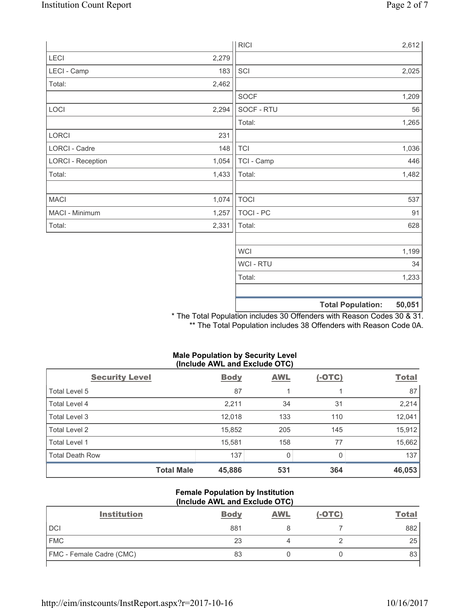|                          |       | <b>RICI</b>      |                          | 2,612  |
|--------------------------|-------|------------------|--------------------------|--------|
| LECI                     | 2,279 |                  |                          |        |
| LECI - Camp              | 183   | SCI              |                          | 2,025  |
| Total:                   | 2,462 |                  |                          |        |
|                          |       | <b>SOCF</b>      |                          | 1,209  |
| LOCI                     | 2,294 | SOCF - RTU       |                          | 56     |
|                          |       | Total:           |                          | 1,265  |
| LORCI                    | 231   |                  |                          |        |
| LORCI - Cadre            | 148   | <b>TCI</b>       |                          | 1,036  |
| <b>LORCI - Reception</b> | 1,054 | TCI - Camp       |                          | 446    |
| Total:                   | 1,433 | Total:           |                          | 1,482  |
|                          |       |                  |                          |        |
| <b>MACI</b>              | 1,074 | <b>TOCI</b>      |                          | 537    |
| MACI - Minimum           | 1,257 | <b>TOCI - PC</b> |                          | 91     |
| Total:                   | 2,331 | Total:           |                          | 628    |
|                          |       |                  |                          |        |
|                          |       | <b>WCI</b>       |                          | 1,199  |
|                          |       | WCI - RTU        |                          | 34     |
|                          |       | Total:           |                          | 1,233  |
|                          |       |                  |                          |        |
|                          |       |                  | <b>Total Population:</b> | 50,051 |

\* The Total Population includes 30 Offenders with Reason Codes 30 & 31. \*\* The Total Population includes 38 Offenders with Reason Code 0A.

## **Male Population by Security Level (Include AWL and Exclude OTC)**

| <b>Security Level</b>  | <b>Body</b> | <b>AWL</b> | $(-OTC)$ | <b>Total</b> |
|------------------------|-------------|------------|----------|--------------|
| Total Level 5          | 87          |            |          | 87           |
| Total Level 4          | 2,211       | 34         | 31       | 2,214        |
| Total Level 3          | 12,018      | 133        | 110      | 12,041       |
| Total Level 2          | 15,852      | 205        | 145      | 15,912       |
| Total Level 1          | 15,581      | 158        | 77       | 15,662       |
| <b>Total Death Row</b> | 137         | 0          | 0        | 137          |
| <b>Total Male</b>      | 45,886      | 531        | 364      | 46,053       |

#### **Female Population by Institution (Include AWL and Exclude OTC)**

| <b>Institution</b>              | <b>Body</b> | <b>AWL</b> | $(-OTC)$ | <b>Total</b> |
|---------------------------------|-------------|------------|----------|--------------|
| <b>DCI</b>                      | 881         |            |          | 882          |
| <b>FMC</b>                      | 23          |            |          | 25           |
| <b>FMC</b> - Female Cadre (CMC) | 83          |            |          | 83           |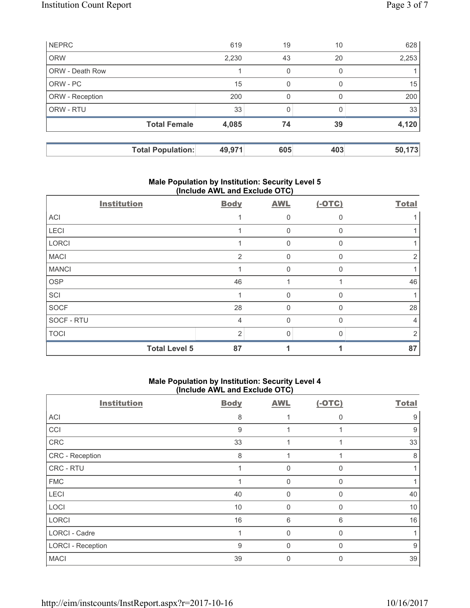|                        | <b>Total Population:</b> | 49,971 | 605 | 403          | 50,173 |
|------------------------|--------------------------|--------|-----|--------------|--------|
|                        | <b>Total Female</b>      | 4,085  | 74  | 39           | 4,120  |
| ORW - RTU              |                          | 33     |     |              | 33     |
| ORW - Reception        |                          | 200    | 0   | <sup>0</sup> | 200    |
| ORW - PC               |                          | 15     | 0   | O            | 15     |
| <b>ORW - Death Row</b> |                          |        | 0   | 0            |        |
| <b>ORW</b>             |                          | 2,230  | 43  | 20           | 2,253  |
| <b>NEPRC</b>           |                          | 619    | 19  | 10           | 628    |

## **Male Population by Institution: Security Level 5 (Include AWL and Exclude OTC)**

| <b>Institution</b>   | <b>Body</b>    | <b>AWL</b>   | $(-OTC)$ | <b>Total</b> |
|----------------------|----------------|--------------|----------|--------------|
| <b>ACI</b>           |                | 0            | $\Omega$ |              |
| LECI                 |                | $\mathbf 0$  | 0        |              |
| LORCI                |                | 0            | $\Omega$ |              |
| <b>MACI</b>          | 2              | 0            | $\Omega$ | 2            |
| <b>MANCI</b>         |                | 0            | $\Omega$ |              |
| <b>OSP</b>           | 46             |              |          | 46           |
| SCI                  |                | $\Omega$     | $\Omega$ |              |
| <b>SOCF</b>          | 28             | $\mathbf{0}$ | $\Omega$ | 28           |
| SOCF - RTU           | 4              | $\Omega$     | $\Omega$ | 4            |
| <b>TOCI</b>          | $\overline{2}$ | $\Omega$     | n        | っ            |
| <b>Total Level 5</b> | 87             |              |          | 87           |

## **Male Population by Institution: Security Level 4 (Include AWL and Exclude OTC)**

| <b>Institution</b>       | <b>Body</b> | <b>AWL</b>  | $(-OTC)$ | <b>Total</b> |
|--------------------------|-------------|-------------|----------|--------------|
| ACI                      | 8           |             | $\Omega$ | 9            |
| CCI                      | 9           |             |          | 9            |
| CRC                      | 33          | 4           |          | 33           |
| CRC - Reception          | 8           |             |          | 8            |
| CRC - RTU                |             | 0           | $\Omega$ |              |
| <b>FMC</b>               |             | $\mathbf 0$ | $\Omega$ |              |
| LECI                     | 40          | $\mathbf 0$ | 0        | 40           |
| LOCI                     | 10          | $\mathbf 0$ | $\Omega$ | 10           |
| <b>LORCI</b>             | 16          | 6           | 6        | 16           |
| LORCI - Cadre            |             | $\mathbf 0$ | $\Omega$ |              |
| <b>LORCI - Reception</b> | 9           | $\mathbf 0$ | 0        | 9            |
| <b>MACI</b>              | 39          | 0           | O        | 39           |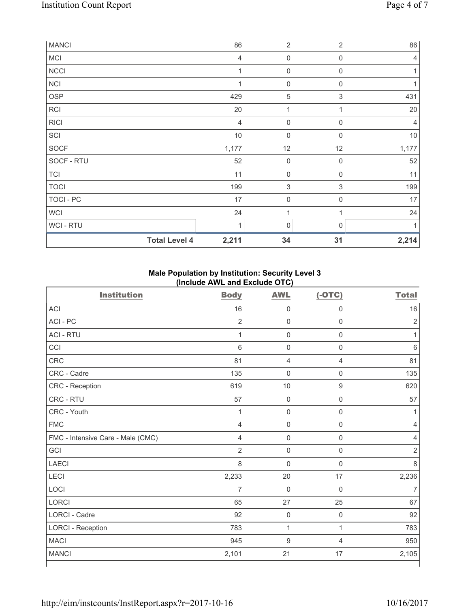| <b>MANCI</b>     |                      | 86             | $\overline{2}$      | $\overline{2}$ | 86             |
|------------------|----------------------|----------------|---------------------|----------------|----------------|
| MCI              |                      | $\overline{4}$ | $\mathsf{O}\xspace$ | $\mathbf 0$    | 4              |
| <b>NCCI</b>      |                      | 1              | $\mathsf{O}\xspace$ | $\mathbf 0$    |                |
| <b>NCI</b>       |                      | 1              | $\mathbf 0$         | 0              |                |
| OSP              |                      | 429            | $\,$ 5 $\,$         | $\mathsf 3$    | 431            |
| <b>RCI</b>       |                      | 20             | 1                   | $\mathbf{1}$   | 20             |
| <b>RICI</b>      |                      | 4              | $\mathsf{O}\xspace$ | $\mathbf 0$    | $\overline{4}$ |
| SCI              |                      | $10$           | $\mathsf{O}\xspace$ | $\mathbf 0$    | 10             |
| SOCF             |                      | 1,177          | 12                  | 12             | 1,177          |
| SOCF - RTU       |                      | 52             | $\mathsf{O}\xspace$ | $\mathbf 0$    | 52             |
| <b>TCI</b>       |                      | 11             | $\mathsf{O}\xspace$ | $\mathbf 0$    | 11             |
| <b>TOCI</b>      |                      | 199            | $\,$ 3 $\,$         | 3              | 199            |
| <b>TOCI - PC</b> |                      | 17             | $\mathsf{O}\xspace$ | $\mathbf 0$    | 17             |
| <b>WCI</b>       |                      | 24             | 1                   | $\mathbf{1}$   | 24             |
| WCI - RTU        |                      | 1              | 0                   | $\Omega$       |                |
|                  | <b>Total Level 4</b> | 2,211          | 34                  | 31             | 2,214          |

# **Male Population by Institution: Security Level 3 (Include AWL and Exclude OTC)**

| <b>Institution</b>                | <b>Body</b>    | <b>AWL</b>          | $(-OTC)$            | <b>Total</b>   |
|-----------------------------------|----------------|---------------------|---------------------|----------------|
| <b>ACI</b>                        | 16             | $\mathsf 0$         | $\mathbf 0$         | 16             |
| ACI - PC                          | $\overline{2}$ | $\mathsf 0$         | $\mathsf 0$         | $\overline{2}$ |
| <b>ACI - RTU</b>                  | 1              | $\mathbf 0$         | $\mathsf 0$         | 1              |
| CCI                               | $6\phantom{1}$ | $\mathbf 0$         | $\mathbf 0$         | $\,6\,$        |
| <b>CRC</b>                        | 81             | $\overline{4}$      | $\overline{4}$      | 81             |
| CRC - Cadre                       | 135            | $\mathbf 0$         | 0                   | 135            |
| CRC - Reception                   | 619            | 10                  | $\hbox{9}$          | 620            |
| <b>CRC - RTU</b>                  | 57             | $\mathbf 0$         | $\mathsf{O}\xspace$ | 57             |
| CRC - Youth                       | 1              | $\mathsf{O}\xspace$ | $\mathsf{O}\xspace$ | 1              |
| <b>FMC</b>                        | $\overline{4}$ | $\mathbf 0$         | $\mathsf 0$         | $\overline{4}$ |
| FMC - Intensive Care - Male (CMC) | $\overline{4}$ | $\mathbf 0$         | $\mathsf{O}\xspace$ | $\overline{4}$ |
| GCI                               | $\overline{2}$ | $\mathbf 0$         | $\mathsf{O}\xspace$ | $\overline{2}$ |
| <b>LAECI</b>                      | $\,8\,$        | $\mathbf 0$         | $\mathsf{O}\xspace$ | $\,8\,$        |
| LECI                              | 2,233          | 20                  | 17                  | 2,236          |
| LOCI                              | 7              | $\mathbf 0$         | $\mathsf 0$         | $\overline{7}$ |
| LORCI                             | 65             | 27                  | 25                  | 67             |
| LORCI - Cadre                     | 92             | $\mathbf 0$         | $\mathsf{O}\xspace$ | 92             |
| <b>LORCI - Reception</b>          | 783            | $\mathbf{1}$        | $\mathbf{1}$        | 783            |
| <b>MACI</b>                       | 945            | $\boldsymbol{9}$    | $\overline{4}$      | 950            |
| <b>MANCI</b>                      | 2,101          | 21                  | 17                  | 2,105          |

٦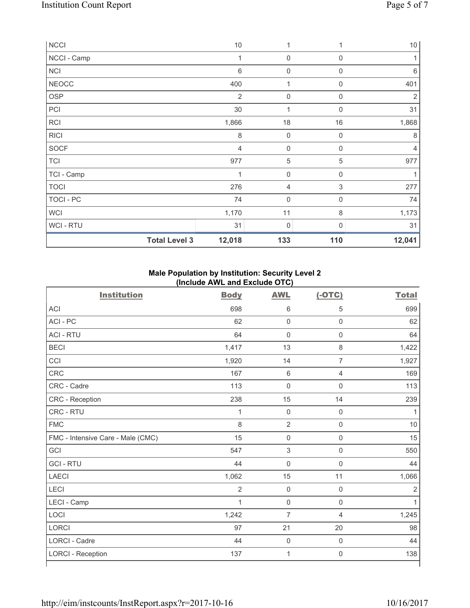| <b>NCCI</b>          | 10             | 1                |             | 10             |
|----------------------|----------------|------------------|-------------|----------------|
| NCCI - Camp          | 1              | $\mathbf 0$      | $\mathbf 0$ | 1              |
| NCI                  | $\,6\,$        | $\boldsymbol{0}$ | 0           | 6              |
| <b>NEOCC</b>         | 400            | 1                | $\mathbf 0$ | 401            |
| <b>OSP</b>           | $\overline{2}$ | $\mathbf 0$      | $\mathbf 0$ | $\overline{2}$ |
| PCI                  | 30             | $\mathbf{1}$     | $\mathbf 0$ | 31             |
| <b>RCI</b>           | 1,866          | 18               | 16          | 1,868          |
| <b>RICI</b>          | $\,8\,$        | $\mathbf 0$      | $\mathbf 0$ | 8              |
| <b>SOCF</b>          | $\overline{4}$ | 0                | $\Omega$    | $\overline{4}$ |
| <b>TCI</b>           | 977            | 5                | 5           | 977            |
| TCI - Camp           | 1              | $\mathbf 0$      | $\mathbf 0$ |                |
| <b>TOCI</b>          | 276            | 4                | $\mathsf 3$ | 277            |
| <b>TOCI - PC</b>     | 74             | $\mathbf 0$      | $\mathbf 0$ | 74             |
| <b>WCI</b>           | 1,170          | 11               | $\,8\,$     | 1,173          |
| WCI - RTU            | 31             | 0                | 0           | 31             |
| <b>Total Level 3</b> | 12,018         | 133              | 110         | 12,041         |

# **Male Population by Institution: Security Level 2 (Include AWL and Exclude OTC)**

|                                   | $(1.01440)$ $(1.144)$ and Exolute $(0.10)$ |                |                     |                |
|-----------------------------------|--------------------------------------------|----------------|---------------------|----------------|
| <b>Institution</b>                | <b>Body</b>                                | <b>AWL</b>     | $(-OTC)$            | <b>Total</b>   |
| <b>ACI</b>                        | 698                                        | 6              | 5                   | 699            |
| ACI-PC                            | 62                                         | $\mathbf 0$    | $\mathsf{O}\xspace$ | 62             |
| <b>ACI - RTU</b>                  | 64                                         | $\mathbf 0$    | $\mathsf{O}\xspace$ | 64             |
| <b>BECI</b>                       | 1,417                                      | 13             | $\,8\,$             | 1,422          |
| CCI                               | 1,920                                      | 14             | $\overline{7}$      | 1,927          |
| <b>CRC</b>                        | 167                                        | $\,$ 6         | $\overline{4}$      | 169            |
| CRC - Cadre                       | 113                                        | $\mathbf 0$    | $\mathbf 0$         | 113            |
| CRC - Reception                   | 238                                        | 15             | 14                  | 239            |
| CRC - RTU                         | $\mathbf{1}$                               | $\mathbf 0$    | $\mathsf{O}\xspace$ | 1              |
| <b>FMC</b>                        | 8                                          | $\overline{2}$ | $\mathsf{O}\xspace$ | 10             |
| FMC - Intensive Care - Male (CMC) | 15                                         | $\mathsf 0$    | $\mathsf{O}\xspace$ | 15             |
| GCI                               | 547                                        | 3              | $\mathsf 0$         | 550            |
| <b>GCI - RTU</b>                  | 44                                         | $\mathbf 0$    | $\mathsf{O}\xspace$ | 44             |
| <b>LAECI</b>                      | 1,062                                      | 15             | 11                  | 1,066          |
| LECI                              | $\overline{2}$                             | $\mathbf 0$    | $\mathsf{O}\xspace$ | $\overline{2}$ |
| LECI - Camp                       | $\mathbf{1}$                               | $\mathbf 0$    | $\mathsf{O}\xspace$ | $\mathbf{1}$   |
| LOCI                              | 1,242                                      | 7              | $\overline{4}$      | 1,245          |
| <b>LORCI</b>                      | 97                                         | 21             | 20                  | 98             |
| <b>LORCI - Cadre</b>              | 44                                         | $\mathbf 0$    | $\mathsf{O}\xspace$ | 44             |
| <b>LORCI - Reception</b>          | 137                                        | $\mathbf 1$    | $\mathbf 0$         | 138            |
|                                   |                                            |                |                     |                |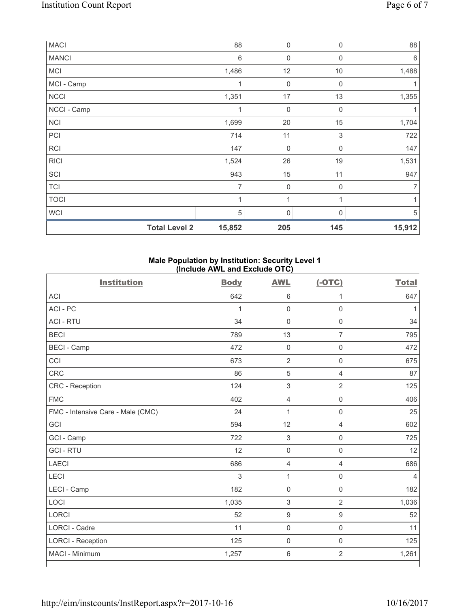| <b>MACI</b>  |                      | 88             | 0                   | $\Omega$                  | 88     |
|--------------|----------------------|----------------|---------------------|---------------------------|--------|
| <b>MANCI</b> |                      | 6              | $\mathbf 0$         | $\Omega$                  | 6      |
| <b>MCI</b>   |                      | 1,486          | 12                  | 10                        | 1,488  |
| MCI - Camp   |                      | 1              | $\mathbf 0$         | $\mathbf 0$               |        |
| <b>NCCI</b>  |                      | 1,351          | 17                  | 13                        | 1,355  |
| NCCI - Camp  |                      | 1              | $\mathbf 0$         | $\mathbf 0$               | 1      |
| <b>NCI</b>   |                      | 1,699          | 20                  | 15                        | 1,704  |
| PCI          |                      | 714            | 11                  | $\ensuremath{\mathsf{3}}$ | 722    |
| <b>RCI</b>   |                      | 147            | $\mathsf 0$         | $\boldsymbol{0}$          | 147    |
| <b>RICI</b>  |                      | 1,524          | 26                  | 19                        | 1,531  |
| SCI          |                      | 943            | 15                  | 11                        | 947    |
| <b>TCI</b>   |                      | $\overline{7}$ | $\mathsf{O}\xspace$ | $\mathbf 0$               | 7      |
| <b>TOCI</b>  |                      | $\mathbf 1$    | 1                   |                           | 1      |
| WCI          |                      | 5              | 0                   | $\Omega$                  | 5      |
|              | <b>Total Level 2</b> | 15,852         | 205                 | 145                       | 15,912 |

## **Male Population by Institution: Security Level 1 (Include AWL and Exclude OTC)**

| <b>Institution</b>                | <b>Body</b>    | <b>AWL</b>          | $(-OTC)$            | <b>Total</b> |
|-----------------------------------|----------------|---------------------|---------------------|--------------|
| <b>ACI</b>                        | 642            | 6                   | 1                   | 647          |
| ACI-PC                            | 1              | $\mathbf 0$         | $\mathbf 0$         | 1            |
| <b>ACI - RTU</b>                  | 34             | $\mathbf 0$         | $\mathsf 0$         | 34           |
| <b>BECI</b>                       | 789            | 13                  | $\overline{7}$      | 795          |
| <b>BECI</b> - Camp                | 472            | $\mathbf 0$         | $\mathsf{O}\xspace$ | 472          |
| CCI                               | 673            | $\overline{2}$      | $\mathsf{O}\xspace$ | 675          |
| <b>CRC</b>                        | 86             | $\sqrt{5}$          | 4                   | 87           |
| CRC - Reception                   | 124            | $\mathsf 3$         | $\overline{2}$      | 125          |
| <b>FMC</b>                        | 402            | $\overline{4}$      | $\mathsf{O}\xspace$ | 406          |
| FMC - Intensive Care - Male (CMC) | 24             | 1                   | $\mathsf 0$         | 25           |
| GCI                               | 594            | 12                  | $\overline{4}$      | 602          |
| GCI - Camp                        | 722            | $\mathfrak{S}$      | $\mathsf{O}\xspace$ | 725          |
| <b>GCI-RTU</b>                    | 12             | $\mathbf 0$         | $\mathbf 0$         | 12           |
| <b>LAECI</b>                      | 686            | $\overline{4}$      | $\overline{4}$      | 686          |
| <b>LECI</b>                       | $\mathfrak{S}$ | $\mathbf 1$         | $\mathsf 0$         | 4            |
| LECI - Camp                       | 182            | $\mathbf 0$         | $\mathsf{O}\xspace$ | 182          |
| LOCI                              | 1,035          | $\sqrt{3}$          | $\overline{2}$      | 1,036        |
| <b>LORCI</b>                      | 52             | $\boldsymbol{9}$    | $\boldsymbol{9}$    | 52           |
| <b>LORCI - Cadre</b>              | 11             | $\mathsf{O}\xspace$ | $\mathbf 0$         | 11           |
| <b>LORCI - Reception</b>          | 125            | $\mathsf{O}\xspace$ | $\mathsf{O}\xspace$ | 125          |
| MACI - Minimum                    | 1,257          | $\,6\,$             | $\mathbf 2$         | 1,261        |